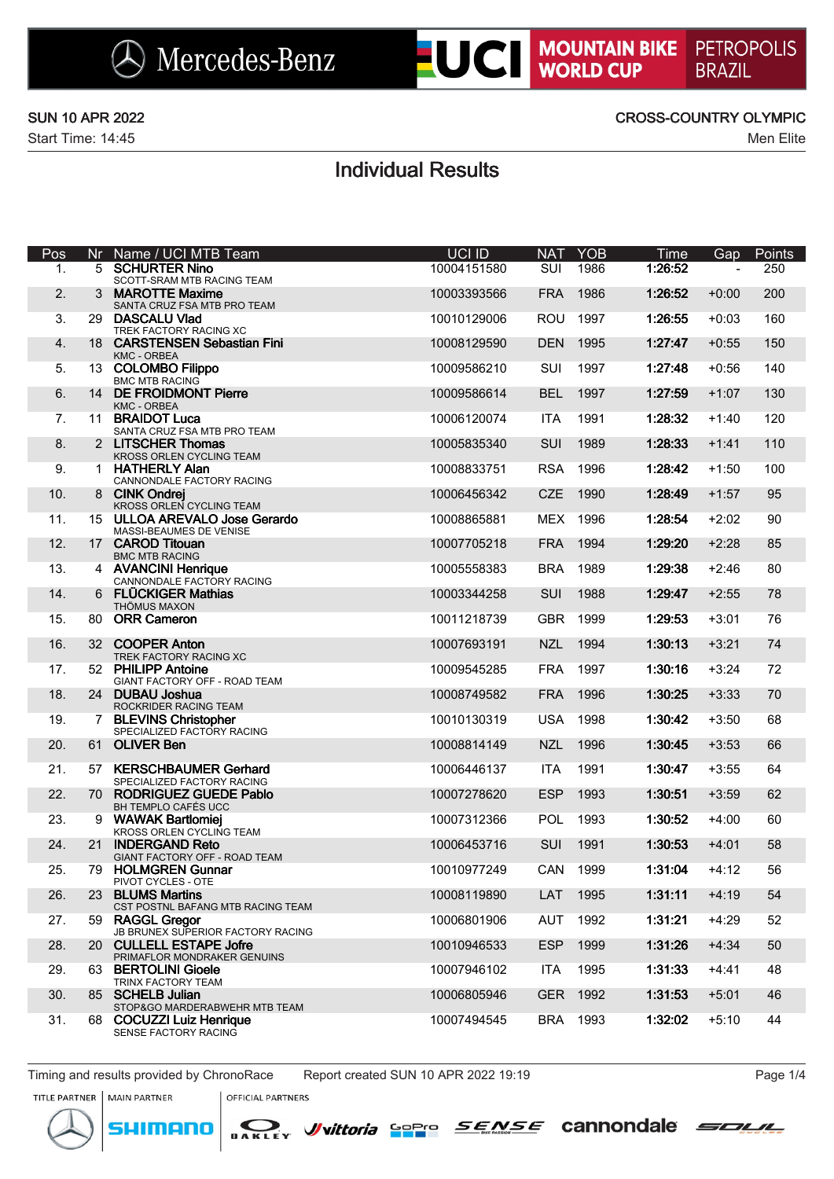### SUN 10 APR 2022 CROSS-COUNTRY OLYMPIC

# Individual Results

| Pos | Nr              | Name / UCI MTB Team                                       | <b>UCI ID</b> | <b>NAT</b> | <b>YOB</b> | Time    | Gap     | Points |
|-----|-----------------|-----------------------------------------------------------|---------------|------------|------------|---------|---------|--------|
| 1.  | 5               | <b>SCHURTER Nino</b><br>SCOTT-SRAM MTB RACING TEAM        | 10004151580   | <b>SUI</b> | 1986       | 1:26:52 |         | 250    |
| 2.  | 3               | <b>MAROTTE Maxime</b><br>SANTA CRUZ FSA MTB PRO TEAM      | 10003393566   | <b>FRA</b> | 1986       | 1:26:52 | $+0:00$ | 200    |
| 3.  | 29              | <b>DASCALU Vlad</b><br>TREK FACTORY RACING XC             | 10010129006   | <b>ROU</b> | 1997       | 1:26:55 | $+0:03$ | 160    |
| 4.  |                 | 18 CARSTENSEN Sebastian Fini<br><b>KMC - ORBEA</b>        | 10008129590   | <b>DEN</b> | 1995       | 1:27:47 | $+0:55$ | 150    |
| 5.  |                 | 13 COLOMBO Filippo<br><b>BMC MTB RACING</b>               | 10009586210   | SUI        | 1997       | 1:27:48 | $+0:56$ | 140    |
| 6.  | 14              | <b>DE FROIDMONT Pierre</b><br><b>KMC - ORBEA</b>          | 10009586614   | <b>BEL</b> | 1997       | 1:27:59 | $+1:07$ | 130    |
| 7.  | 11              | <b>BRAIDOT Luca</b><br>SANTA CRUZ FSA MTB PRO TEAM        | 10006120074   | <b>ITA</b> | 1991       | 1:28:32 | $+1:40$ | 120    |
| 8.  |                 | 2 LITSCHER Thomas<br>KROSS ORLEN CYCLING TEAM             | 10005835340   | SUI        | 1989       | 1:28:33 | $+1:41$ | 110    |
| 9.  | $\mathbf 1$     | <b>HATHERLY Alan</b><br>CANNONDALE FACTORY RACING         | 10008833751   | <b>RSA</b> | 1996       | 1:28:42 | $+1:50$ | 100    |
| 10. |                 | 8 CINK Ondrej<br>KROSS ORLEN CYCLING TEAM                 | 10006456342   | <b>CZE</b> | 1990       | 1:28:49 | $+1:57$ | 95     |
| 11. |                 | 15 ULLOA AREVALO Jose Gerardo<br>MASSI-BEAUMES DE VENISE  | 10008865881   | <b>MEX</b> | 1996       | 1:28:54 | $+2:02$ | 90     |
| 12. |                 | 17 CAROD Titouan<br><b>BMC MTB RACING</b>                 | 10007705218   | <b>FRA</b> | 1994       | 1:29:20 | $+2:28$ | 85     |
| 13. |                 | 4 AVANCINI Henrique<br>CANNONDALE FACTORY RACING          | 10005558383   | <b>BRA</b> | 1989       | 1:29:38 | $+2:46$ | 80     |
| 14. | 6               | <b>FLÜCKIGER Mathias</b><br>THÖMUS MAXON                  | 10003344258   | <b>SUI</b> | 1988       | 1:29:47 | $+2:55$ | 78     |
| 15. | 80.             | <b>ORR Cameron</b>                                        | 10011218739   | <b>GBR</b> | 1999       | 1:29:53 | $+3:01$ | 76     |
| 16. |                 | 32 COOPER Anton<br>TREK FACTORY RACING XC                 | 10007693191   | <b>NZL</b> | 1994       | 1:30:13 | $+3:21$ | 74     |
| 17. |                 | 52 PHILIPP Antoine<br>GIANT FACTORY OFF - ROAD TEAM       | 10009545285   | <b>FRA</b> | 1997       | 1:30:16 | $+3:24$ | 72     |
| 18. |                 | 24 DUBAU Joshua<br>ROCKRIDER RACING TEAM                  | 10008749582   | <b>FRA</b> | 1996       | 1:30:25 | $+3:33$ | 70     |
| 19. | 7               | <b>BLEVINS Christopher</b><br>SPECIALIZED FACTORY RACING  | 10010130319   | <b>USA</b> | 1998       | 1:30:42 | $+3:50$ | 68     |
| 20. |                 | 61 OLIVER Ben                                             | 10008814149   | <b>NZL</b> | 1996       | 1:30:45 | $+3:53$ | 66     |
| 21. | 57              | <b>KERSCHBAUMER Gerhard</b><br>SPECIALIZED FACTORY RACING | 10006446137   | <b>ITA</b> | 1991       | 1:30:47 | $+3:55$ | 64     |
| 22. |                 | 70 RODRIGUEZ GUEDE Pablo<br>BH TEMPLO CAFÉS UCC           | 10007278620   | <b>ESP</b> | 1993       | 1:30:51 | $+3:59$ | 62     |
| 23. | 9               | <b>WAWAK Bartlomiej</b><br>KROSS ORLEN CYCLING TEAM       | 10007312366   | <b>POL</b> | 1993       | 1:30:52 | $+4:00$ | 60     |
| 24. | 21 <sup>2</sup> | <b>INDERGAND Reto</b><br>GIANT FACTORY OFF - ROAD TEAM    | 10006453716   | SUI        | 1991       | 1:30:53 | $+4:01$ | 58     |
| 25. |                 | 79 HOLMGREN Gunnar<br>PIVOT CYCLES - OTE                  | 10010977249   |            | CAN 1999   | 1:31:04 | $+4:12$ | 56     |
| 26. | 23              | <b>BLUMS Martins</b><br>CST POSTNL BAFANG MTB RACING TEAM | 10008119890   | LAT        | 1995       | 1:31:11 | $+4:19$ | 54     |
| 27. | 59              | <b>RAGGL Gregor</b><br>JB BRUNEX SUPERIOR FACTORY RACING  | 10006801906   | AUT        | 1992       | 1:31:21 | $+4:29$ | 52     |
| 28. |                 | 20 CULLELL ESTAPE Jofre<br>PRIMAFLOR MONDRAKER GENUINS    | 10010946533   | <b>ESP</b> | 1999       | 1:31:26 | $+4:34$ | 50     |
| 29. | 63.             | <b>BERTOLINI Gioele</b><br>TRINX FACTORY TEAM             | 10007946102   | <b>ITA</b> | 1995       | 1:31:33 | $+4:41$ | 48     |
| 30. |                 | 85 SCHELB Julian<br>STOP&GO MARDERABWEHR MTB TEAM         | 10006805946   | <b>GER</b> | 1992       | 1:31:53 | $+5:01$ | 46     |
| 31. | 68              | <b>COCUZZI Luiz Henrique</b><br>SENSE FACTORY RACING      | 10007494545   |            | BRA 1993   | 1:32:02 | $+5:10$ | 44     |

Timing and results provided by ChronoRace Report created SUN 10 APR 2022 19:19 Page 1/4

OFFICIAL PARTNERS

*J*/vittoria Sopro

SENSE cannondale SOUL



TITLE PARTNER | MAIN PARTNER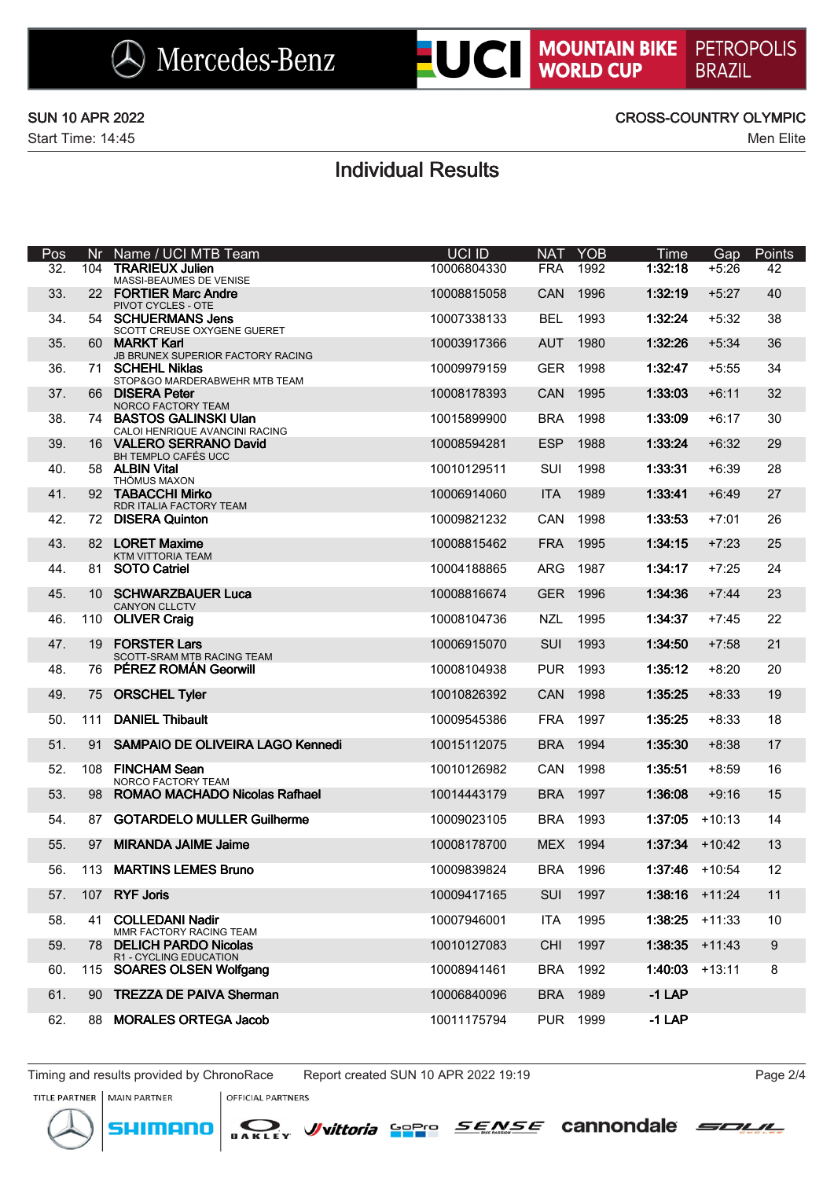### SUN 10 APR 2022 CROSS-COUNTRY OLYMPIC

## Individual Results

| Pos | Nr. | Name / UCI MTB Team                                       | UCI ID      | <b>NAT</b> | <b>YOB</b> | Time             | Gap      | Points |
|-----|-----|-----------------------------------------------------------|-------------|------------|------------|------------------|----------|--------|
| 32. | 104 | <b>TRARIEUX Julien</b><br>MASSI-BEAUMES DE VENISE         | 10006804330 | <b>FRA</b> | 1992       | 1:32:18          | $+5:26$  | 42     |
| 33. |     | 22 FORTIER Marc Andre<br>PIVOT CYCLES - OTE               | 10008815058 | CAN        | 1996       | 1:32:19          | $+5:27$  | 40     |
| 34. |     | 54 SCHUERMANS Jens<br>SCOTT CREUSE OXYGENE GUERET         | 10007338133 | <b>BEL</b> | 1993       | 1:32:24          | $+5:32$  | 38     |
| 35. | 60  | <b>MARKT Karl</b><br>JB BRUNEX SUPERIOR FACTORY RACING    | 10003917366 | <b>AUT</b> | 1980       | 1:32:26          | $+5:34$  | 36     |
| 36. |     | 71 SCHEHL Niklas<br>STOP&GO MARDERABWEHR MTB TEAM         | 10009979159 | <b>GER</b> | 1998       | 1:32:47          | $+5:55$  | 34     |
| 37. |     | 66 DISERA Peter<br>NORCO FACTORY TEAM                     | 10008178393 | CAN        | 1995       | 1:33:03          | $+6:11$  | 32     |
| 38. |     | 74 BASTOS GALINSKI Ulan<br>CALOI HENRIQUE AVANCINI RACING | 10015899900 | <b>BRA</b> | 1998       | 1:33:09          | +6:17    | 30     |
| 39. |     | 16 VALERO SERRANO David<br>BH TEMPLO CAFÉS UCC            | 10008594281 | <b>ESP</b> | 1988       | 1:33:24          | $+6:32$  | 29     |
| 40. |     | 58 ALBIN Vital<br>THÖMUS MAXON                            | 10010129511 | SUI        | 1998       | 1:33:31          | $+6:39$  | 28     |
| 41. |     | 92 TABACCHI Mirko<br>RDR ITALIA FACTORY TEAM              | 10006914060 | <b>ITA</b> | 1989       | 1:33:41          | $+6:49$  | 27     |
| 42. |     | 72 DISERA Quinton                                         | 10009821232 | CAN        | 1998       | 1:33:53          | $+7:01$  | 26     |
| 43. |     | 82 LORET Maxime<br>KTM VITTORIA TEAM                      | 10008815462 | <b>FRA</b> | 1995       | 1:34:15          | $+7:23$  | 25     |
| 44. | 81  | <b>SOTO Catriel</b>                                       | 10004188865 | <b>ARG</b> | 1987       | 1:34:17          | $+7:25$  | 24     |
| 45. |     | 10 SCHWARZBAUER Luca<br><b>CANYON CLLCTV</b>              | 10008816674 | <b>GER</b> | 1996       | 1:34:36          | $+7:44$  | 23     |
| 46. | 110 | <b>OLIVER Craig</b>                                       | 10008104736 | <b>NZL</b> | 1995       | 1:34:37          | $+7:45$  | 22     |
| 47. | 19  | <b>FORSTER Lars</b><br>SCOTT-SRAM MTB RACING TEAM         | 10006915070 | <b>SUI</b> | 1993       | 1:34:50          | $+7:58$  | 21     |
| 48. | 76  | PÉREZ ROMÁN Georwill                                      | 10008104938 | <b>PUR</b> | 1993       | 1:35:12          | $+8:20$  | 20     |
| 49. | 75  | <b>ORSCHEL Tyler</b>                                      | 10010826392 | CAN        | 1998       | 1:35:25          | $+8:33$  | 19     |
| 50. | 111 | <b>DANIEL Thibault</b>                                    | 10009545386 | <b>FRA</b> | 1997       | 1:35:25          | $+8:33$  | 18     |
| 51. | 91  | SAMPAIO DE OLIVEIRA LAGO Kennedi                          | 10015112075 | <b>BRA</b> | 1994       | 1:35:30          | $+8:38$  | 17     |
| 52. |     | 108 FINCHAM Sean<br>NORCO FACTORY TEAM                    | 10010126982 | <b>CAN</b> | 1998       | 1:35:51          | $+8:59$  | 16     |
| 53. | 98  | ROMAO MACHADO Nicolas Rafhael                             | 10014443179 | <b>BRA</b> | 1997       | 1:36:08          | $+9:16$  | 15     |
| 54. | 87  | <b>GOTARDELO MULLER Guilherme</b>                         | 10009023105 | <b>BRA</b> | 1993       | 1:37:05          | $+10:13$ | 14     |
| 55. | 97  | <b>MIRANDA JAIME Jaime</b>                                | 10008178700 | MEX 1994   |            | $1:37:34$ +10:42 |          | 13     |
| 56. |     | 113 MARTINS LEMES Bruno                                   | 10009839824 | BRA 1996   |            | $1:37:46$ +10:54 |          | 12     |
| 57. | 107 | <b>RYF Joris</b>                                          | 10009417165 | <b>SUI</b> | 1997       | 1:38:16          | $+11:24$ | 11     |
| 58. | 41  | <b>COLLEDANI Nadir</b><br>MMR FACTORY RACING TEAM         | 10007946001 | <b>ITA</b> | 1995       | 1:38:25          | $+11:33$ | 10     |
| 59. | 78  | <b>DELICH PARDO Nicolas</b><br>R1 - CYCLING EDUCATION     | 10010127083 | <b>CHI</b> | 1997       | 1:38:35          | $+11:43$ | $9\,$  |
| 60. | 115 | <b>SOARES OLSEN Wolfgang</b>                              | 10008941461 | <b>BRA</b> | 1992       | 1:40:03          | $+13:11$ | 8      |
| 61. | 90  | <b>TREZZA DE PAIVA Sherman</b>                            | 10006840096 | <b>BRA</b> | 1989       | $-1$ LAP         |          |        |
| 62. | 88  | <b>MORALES ORTEGA Jacob</b>                               | 10011175794 | <b>PUR</b> | 1999       | $-1$ LAP         |          |        |

Timing and results provided by ChronoRace Report created SUN 10 APR 2022 19:19 Page 2/4

*J*/vittoria Sopro

TITLE PARTNER | MAIN PARTNER

OFFICIAL PARTNERS





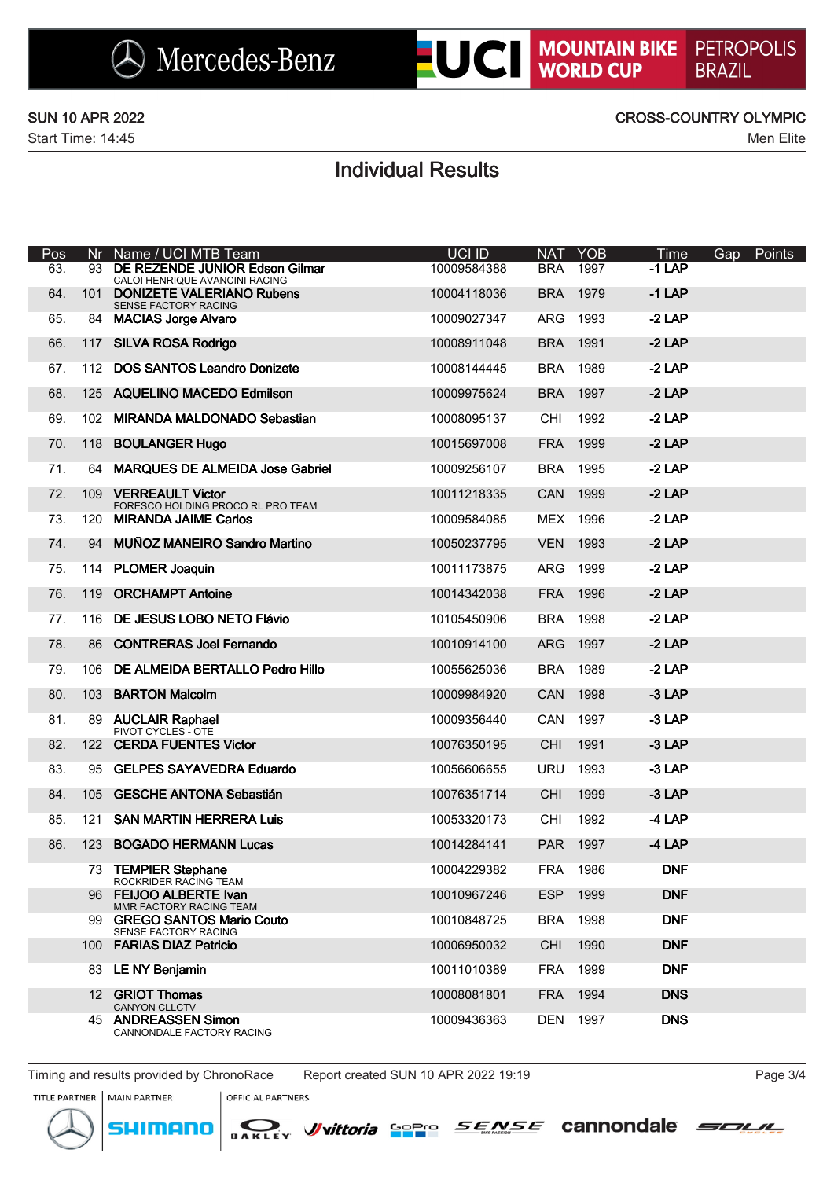### SUN 10 APR 2022 CROSS-COUNTRY OLYMPIC

# Individual Results

| Pos | Nr  | Name / UCI MTB Team                                                 | <b>UCI ID</b> | <b>NAT</b> | YOB      | <b>Time</b> | Gap Points |
|-----|-----|---------------------------------------------------------------------|---------------|------------|----------|-------------|------------|
| 63. |     | 93 DE REZENDE JUNIOR Edson Gilmar<br>CALOI HENRIQUE AVANCINI RACING | 10009584388   | BRA 1997   |          | $-1$ LAP    |            |
| 64. | 101 | <b>DONIZETE VALERIANO Rubens</b><br>SENSE FACTORY RACING            | 10004118036   | <b>BRA</b> | 1979     | $-1$ LAP    |            |
| 65. |     | 84 MACIAS Jorge Alvaro                                              | 10009027347   | ARG        | 1993     | $-2$ LAP    |            |
| 66. |     | 117 SILVA ROSA Rodrigo                                              | 10008911048   | <b>BRA</b> | 1991     | $-2$ LAP    |            |
| 67. |     | 112 DOS SANTOS Leandro Donizete                                     | 10008144445   | BRA 1989   |          | $-2$ LAP    |            |
| 68. |     | 125 AQUELINO MACEDO Edmilson                                        | 10009975624   | <b>BRA</b> | 1997     | $-2$ LAP    |            |
| 69. |     | 102 MIRANDA MALDONADO Sebastian                                     | 10008095137   | CHI        | 1992     | $-2$ LAP    |            |
| 70. | 118 | <b>BOULANGER Hugo</b>                                               | 10015697008   | <b>FRA</b> | 1999     | $-2$ LAP    |            |
| 71. |     | 64 MARQUES DE ALMEIDA Jose Gabriel                                  | 10009256107   | BRA 1995   |          | $-2$ LAP    |            |
| 72. | 109 | <b>VERREAULT Victor</b><br>FORESCO HOLDING PROCO RL PRO TEAM        | 10011218335   | <b>CAN</b> | 1999     | $-2$ LAP    |            |
| 73. |     | 120 MIRANDA JAIME Carlos                                            | 10009584085   | MEX 1996   |          | $-2$ LAP    |            |
| 74. | 94  | <b>MUÑOZ MANEIRO Sandro Martino</b>                                 | 10050237795   | <b>VEN</b> | 1993     | $-2$ LAP    |            |
| 75. |     | 114 PLOMER Joaquin                                                  | 10011173875   | ARG        | 1999     | $-2$ LAP    |            |
| 76. | 119 | <b>ORCHAMPT Antoine</b>                                             | 10014342038   | <b>FRA</b> | 1996     | $-2$ LAP    |            |
| 77. |     | 116 DE JESUS LOBO NETO Flávio                                       | 10105450906   | <b>BRA</b> | 1998     | $-2$ LAP    |            |
| 78. |     | 86 CONTRERAS Joel Fernando                                          | 10010914100   | <b>ARG</b> | 1997     | $-2$ LAP    |            |
| 79. | 106 | DE ALMEIDA BERTALLO Pedro Hillo                                     | 10055625036   | <b>BRA</b> | 1989     | $-2$ LAP    |            |
| 80. | 103 | <b>BARTON Malcolm</b>                                               | 10009984920   | CAN        | 1998     | $-3$ LAP    |            |
| 81. |     | 89 AUCLAIR Raphael<br>PIVOT CYCLES - OTE                            | 10009356440   | CAN        | 1997     | $-3$ LAP    |            |
| 82. |     | 122 CERDA FUENTES Victor                                            | 10076350195   | <b>CHI</b> | 1991     | $-3$ LAP    |            |
| 83. |     | 95 GELPES SAYAVEDRA Eduardo                                         | 10056606655   | URU        | 1993     | $-3$ LAP    |            |
| 84. | 105 | <b>GESCHE ANTONA Sebastián</b>                                      | 10076351714   | <b>CHI</b> | 1999     | $-3$ LAP    |            |
| 85. | 121 | <b>SAN MARTIN HERRERA Luis</b>                                      | 10053320173   | CHI        | 1992     | $-4$ LAP    |            |
| 86. |     | 123 BOGADO HERMANN Lucas                                            | 10014284141   | PAR 1997   |          | $-4$ LAP    |            |
|     |     | 73 TEMPIER Stephane<br>ROCKRIDER RACING TEAM                        | 10004229382   |            | FRA 1986 | <b>DNF</b>  |            |
|     |     | 96 FEIJOO ALBERTE Ivan<br>MMR FACTORY RACING TEAM                   | 10010967246   | <b>ESP</b> | 1999     | <b>DNF</b>  |            |
|     |     | 99 GREGO SANTOS Mario Couto<br>SENSE FACTORY RACING                 | 10010848725   | <b>BRA</b> | 1998     | <b>DNF</b>  |            |
|     | 100 | <b>FARIAS DIAZ Patricio</b>                                         | 10006950032   | <b>CHI</b> | 1990     | <b>DNF</b>  |            |
|     |     | 83 LE NY Benjamin                                                   | 10011010389   | <b>FRA</b> | 1999     | <b>DNF</b>  |            |
|     |     | 12 GRIOT Thomas<br><b>CANYON CLLCTV</b>                             | 10008081801   | <b>FRA</b> | 1994     | <b>DNS</b>  |            |
|     |     | 45 ANDREASSEN Simon<br>CANNONDALE FACTORY RACING                    | 10009436363   |            | DEN 1997 | <b>DNS</b>  |            |

Timing and results provided by ChronoRace Report created SUN 10 APR 2022 19:19 Page 3/4

nenn



TITLE PARTNER | MAIN PARTNER